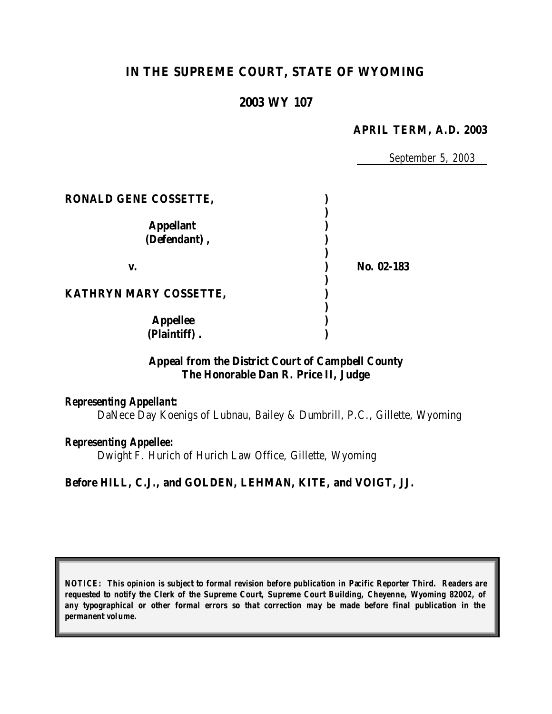# **IN THE SUPREME COURT, STATE OF WYOMING**

# **2003 WY 107**

### **APRIL TERM, A.D. 2003**

*September 5, 2003*

| <b>RONALD GENE COSSETTE,</b>     |            |
|----------------------------------|------------|
| <b>Appellant</b><br>(Defendant), |            |
| V.                               | No. 02-183 |
| KATHRYN MARY COSSETTE,           |            |
| <b>Appellee</b><br>(Plaintiff).  |            |

## **Appeal from the District Court of Campbell County The Honorable Dan R. Price II, Judge**

### *Representing Appellant:*

DaNece Day Koenigs of Lubnau, Bailey & Dumbrill, P.C., Gillette, Wyoming

### *Representing Appellee:*

Dwight F. Hurich of Hurich Law Office, Gillette, Wyoming

### **Before HILL, C.J., and GOLDEN, LEHMAN, KITE, and VOIGT, JJ.**

*NOTICE: This opinion is subject to formal revision before publication in Pacific Reporter Third. Readers are requested to notify the Clerk of the Supreme Court, Supreme Court Building, Cheyenne, Wyoming 82002, of any typographical or other formal errors so that correction may be made before final publication in the permanent volume.*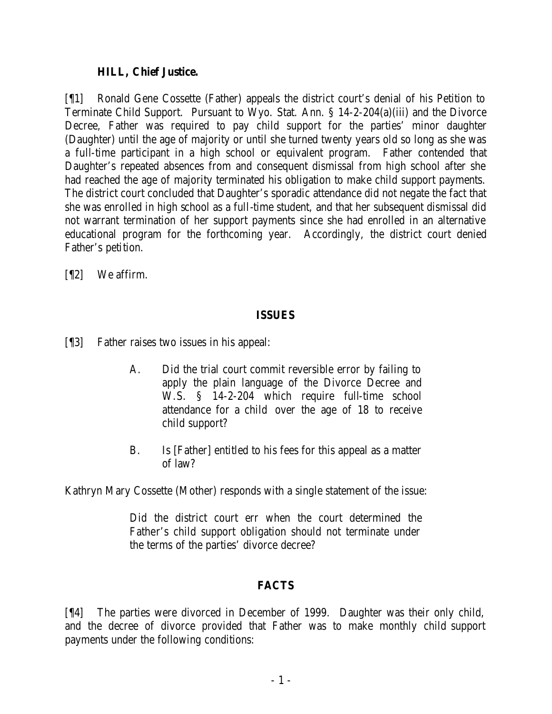## **HILL, Chief Justice.**

[¶1] Ronald Gene Cossette (Father) appeals the district court's denial of his Petition to Terminate Child Support. Pursuant to Wyo. Stat. Ann. § 14-2-204(a)(iii) and the Divorce Decree, Father was required to pay child support for the parties' minor daughter (Daughter) until the age of majority or until she turned twenty years old so long as she was a full-time participant in a high school or equivalent program. Father contended that Daughter's repeated absences from and consequent dismissal from high school after she had reached the age of majority terminated his obligation to make child support payments. The district court concluded that Daughter's sporadic attendance did not negate the fact that she was enrolled in high school as a full-time student, and that her subsequent dismissal did not warrant termination of her support payments since she had enrolled in an alternative educational program for the forthcoming year. Accordingly, the district court denied Father's petition.

[¶2] We affirm.

# **ISSUES**

- [¶3] Father raises two issues in his appeal:
	- A. Did the trial court commit reversible error by failing to apply the plain language of the Divorce Decree and W.S. § 14-2-204 which require full-time school attendance for a child over the age of 18 to receive child support?
	- B. Is [Father] entitled to his fees for this appeal as a matter of law?

Kathryn Mary Cossette (Mother) responds with a single statement of the issue:

Did the district court err when the court determined the Father's child support obligation should not terminate under the terms of the parties' divorce decree?

# **FACTS**

[¶4] The parties were divorced in December of 1999. Daughter was their only child, and the decree of divorce provided that Father was to make monthly child support payments under the following conditions: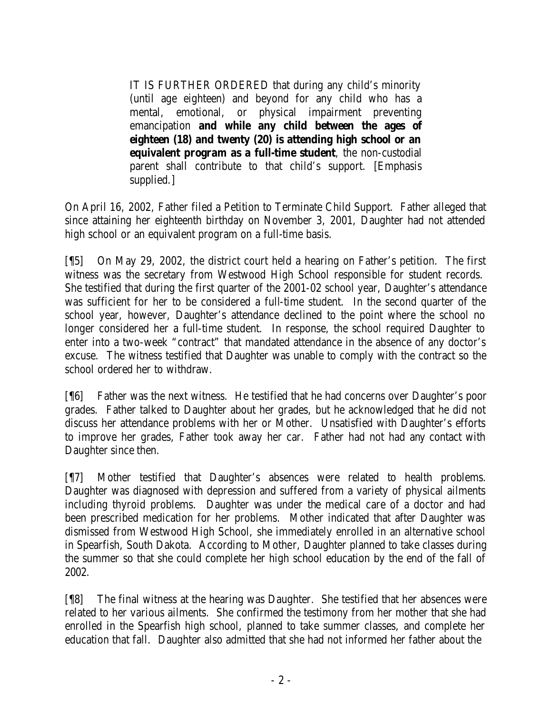IT IS FURTHER ORDERED that during any child's minority (until age eighteen) and beyond for any child who has a mental, emotional, or physical impairment preventing emancipation **and while any child between the ages of eighteen (18) and twenty (20) is attending high school or an equivalent program as a full-time student**, the non-custodial parent shall contribute to that child's support. [Emphasis supplied.]

On April 16, 2002, Father filed a Petition to Terminate Child Support. Father alleged that since attaining her eighteenth birthday on November 3, 2001, Daughter had not attended high school or an equivalent program on a full-time basis.

[¶5] On May 29, 2002, the district court held a hearing on Father's petition. The first witness was the secretary from Westwood High School responsible for student records. She testified that during the first quarter of the 2001-02 school year, Daughter's attendance was sufficient for her to be considered a full-time student. In the second quarter of the school year, however, Daughter's attendance declined to the point where the school no longer considered her a full-time student. In response, the school required Daughter to enter into a two-week "contract" that mandated attendance in the absence of any doctor's excuse. The witness testified that Daughter was unable to comply with the contract so the school ordered her to withdraw.

[¶6] Father was the next witness. He testified that he had concerns over Daughter's poor grades. Father talked to Daughter about her grades, but he acknowledged that he did not discuss her attendance problems with her or Mother. Unsatisfied with Daughter's efforts to improve her grades, Father took away her car. Father had not had any contact with Daughter since then.

[¶7] Mother testified that Daughter's absences were related to health problems. Daughter was diagnosed with depression and suffered from a variety of physical ailments including thyroid problems. Daughter was under the medical care of a doctor and had been prescribed medication for her problems. Mother indicated that after Daughter was dismissed from Westwood High School, she immediately enrolled in an alternative school in Spearfish, South Dakota. According to Mother, Daughter planned to take classes during the summer so that she could complete her high school education by the end of the fall of 2002.

[¶8] The final witness at the hearing was Daughter. She testified that her absences were related to her various ailments. She confirmed the testimony from her mother that she had enrolled in the Spearfish high school, planned to take summer classes, and complete her education that fall. Daughter also admitted that she had not informed her father about the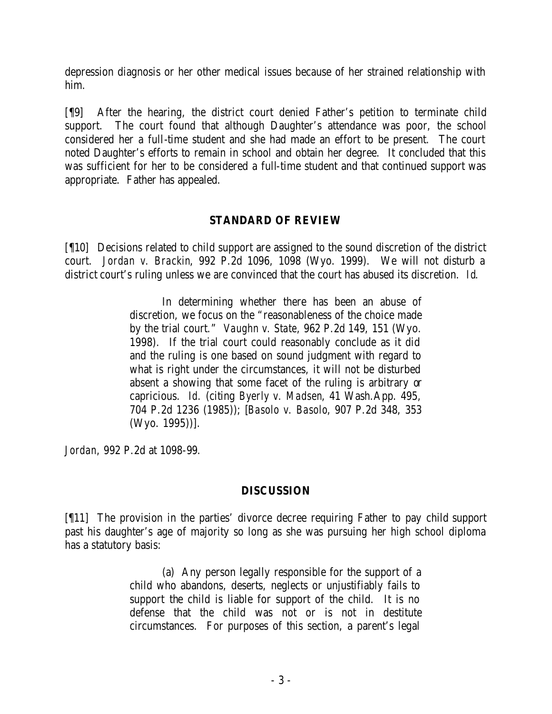depression diagnosis or her other medical issues because of her strained relationship with him.

[¶9] After the hearing, the district court denied Father's petition to terminate child support. The court found that although Daughter's attendance was poor, the school considered her a full-time student and she had made an effort to be present. The court noted Daughter's efforts to remain in school and obtain her degree. It concluded that this was sufficient for her to be considered a full-time student and that continued support was appropriate. Father has appealed.

# **STANDARD OF REVIEW**

[¶10] Decisions related to child support are assigned to the sound discretion of the district court. *Jordan v. Brackin*, 992 P.2d 1096, 1098 (Wyo. 1999). We will not disturb a district court's ruling unless we are convinced that the court has abused its discretion. *Id*.

> In determining whether there has been an abuse of discretion, we focus on the "reasonableness of the choice made by the trial court." *Vaughn v. State*, 962 P.2d 149, 151 (Wyo. 1998). If the trial court could reasonably conclude as it did and the ruling is one based on sound judgment with regard to what is right under the circumstances, it will not be disturbed absent a showing that some facet of the ruling is arbitrary or capricious. *Id.* (citing *Byerly v. Madsen*, 41 Wash.App. 495, 704 P.2d 1236 (1985)); [*Basolo v. Basolo*, 907 P.2d 348, 353 (Wyo. 1995))].

*Jordan*, 992 P.2d at 1098-99.

# **DISCUSSION**

[¶11] The provision in the parties' divorce decree requiring Father to pay child support past his daughter's age of majority so long as she was pursuing her high school diploma has a statutory basis:

> (a) Any person legally responsible for the support of a child who abandons, deserts, neglects or unjustifiably fails to support the child is liable for support of the child. It is no defense that the child was not or is not in destitute circumstances. For purposes of this section, a parent's legal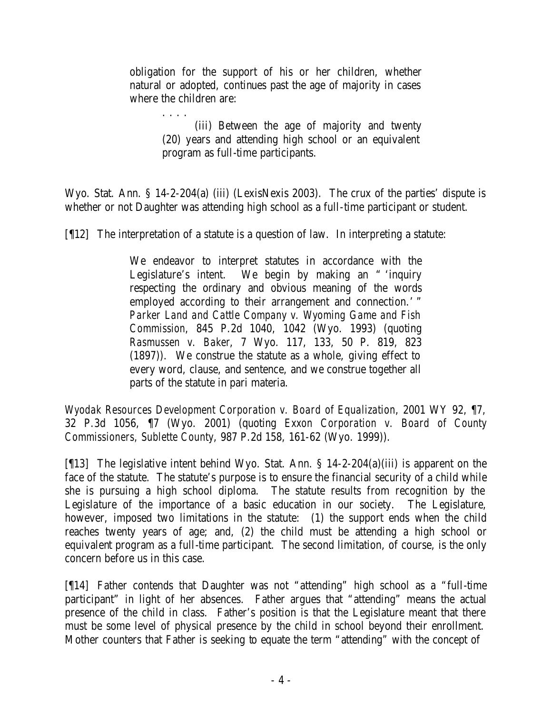obligation for the support of his or her children, whether natural or adopted, continues past the age of majority in cases where the children are:

> . . . . (iii) Between the age of majority and twenty (20) years and attending high school or an equivalent program as full-time participants.

Wyo. Stat. Ann. § 14-2-204(a) (iii) (LexisNexis 2003). The crux of the parties' dispute is whether or not Daughter was attending high school as a full-time participant or student.

[¶12] The interpretation of a statute is a question of law. In interpreting a statute:

We endeavor to interpret statutes in accordance with the Legislature's intent. We begin by making an " 'inquiry respecting the ordinary and obvious meaning of the words employed according to their arrangement and connection.' " *Parker Land and Cattle Company v. Wyoming Game and Fish Commission*, 845 P.2d 1040, 1042 (Wyo. 1993) (quoting *Rasmussen v. Baker*, 7 Wyo. 117, 133, 50 P. 819, 823 (1897)). We construe the statute as a whole, giving effect to every word, clause, and sentence, and we construe together all parts of the statute in pari materia.

*Wyodak Resources Development Corporation v. Board of Equalization*, 2001 WY 92, ¶7, 32 P.3d 1056, ¶7 (Wyo. 2001) (quoting *Exxon Corporation v. Board of County Commissioners, Sublette County*, 987 P.2d 158, 161-62 (Wyo. 1999)).

[¶13] The legislative intent behind Wyo. Stat. Ann. § 14-2-204(a)(iii) is apparent on the face of the statute. The statute's purpose is to ensure the financial security of a child while she is pursuing a high school diploma. The statute results from recognition by the Legislature of the importance of a basic education in our society. The Legislature, however, imposed two limitations in the statute: (1) the support ends when the child reaches twenty years of age; and, (2) the child must be attending a high school or equivalent program as a full-time participant. The second limitation, of course, is the only concern before us in this case.

[¶14] Father contends that Daughter was not "attending" high school as a "full-time participant" in light of her absences. Father argues that "attending" means the actual presence of the child in class. Father's position is that the Legislature meant that there must be some level of physical presence by the child in school beyond their enrollment. Mother counters that Father is seeking to equate the term "attending" with the concept of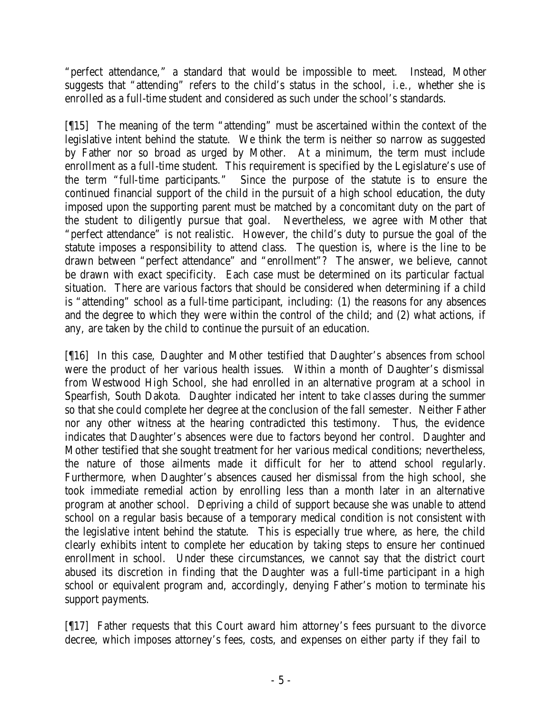"perfect attendance," a standard that would be impossible to meet. Instead, Mother suggests that "attending" refers to the child's status in the school, *i.e.,* whether she is enrolled as a full-time student and considered as such under the school's standards.

[¶15] The meaning of the term "attending" must be ascertained within the context of the legislative intent behind the statute. We think the term is neither so narrow as suggested by Father nor so broad as urged by Mother. At a minimum, the term must include enrollment as a full-time student. This requirement is specified by the Legislature's use of the term "full-time participants." Since the purpose of the statute is to ensure the continued financial support of the child in the pursuit of a high school education, the duty imposed upon the supporting parent must be matched by a concomitant duty on the part of the student to diligently pursue that goal. Nevertheless, we agree with Mother that "perfect attendance" is not realistic. However, the child's duty to pursue the goal of the statute imposes a responsibility to attend class. The question is, where is the line to be drawn between "perfect attendance" and "enrollment"? The answer, we believe, cannot be drawn with exact specificity. Each case must be determined on its particular factual situation. There are various factors that should be considered when determining if a child is "attending" school as a full-time participant, including: (1) the reasons for any absences and the degree to which they were within the control of the child; and (2) what actions, if any, are taken by the child to continue the pursuit of an education.

[¶16] In this case, Daughter and Mother testified that Daughter's absences from school were the product of her various health issues. Within a month of Daughter's dismissal from Westwood High School, she had enrolled in an alternative program at a school in Spearfish, South Dakota. Daughter indicated her intent to take classes during the summer so that she could complete her degree at the conclusion of the fall semester. Neither Father nor any other witness at the hearing contradicted this testimony. Thus, the evidence indicates that Daughter's absences were due to factors beyond her control. Daughter and Mother testified that she sought treatment for her various medical conditions; nevertheless, the nature of those ailments made it difficult for her to attend school regularly. Furthermore, when Daughter's absences caused her dismissal from the high school, she took immediate remedial action by enrolling less than a month later in an alternative program at another school. Depriving a child of support because she was unable to attend school on a regular basis because of a temporary medical condition is not consistent with the legislative intent behind the statute. This is especially true where, as here, the child clearly exhibits intent to complete her education by taking steps to ensure her continued enrollment in school. Under these circumstances, we cannot say that the district court abused its discretion in finding that the Daughter was a full-time participant in a high school or equivalent program and, accordingly, denying Father's motion to terminate his support payments.

[¶17] Father requests that this Court award him attorney's fees pursuant to the divorce decree, which imposes attorney's fees, costs, and expenses on either party if they fail to